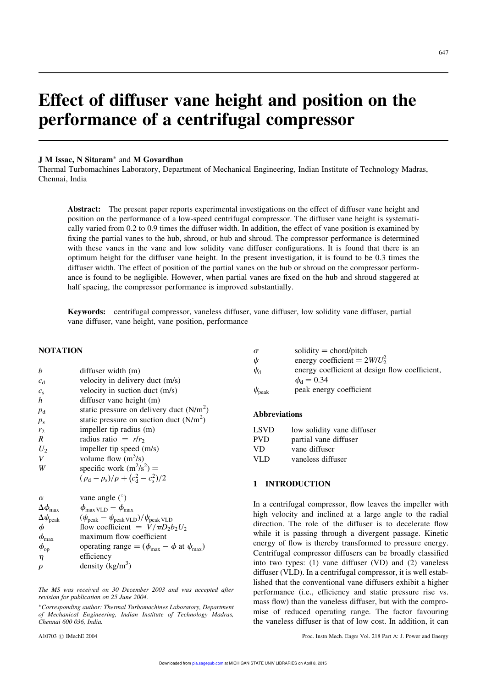# Effect of diffuser vane height and position on the performance of a centrifugal compressor

## J M Issac, N Sitaram<sup>\*</sup> and M Govardhan

Thermal Turbomachines Laboratory, Department of Mechanical Engineering, Indian Institute of Technology Madras, Chennai, India

Abstract: The present paper reports experimental investigations on the effect of diffuser vane height and position on the performance of a low-speed centrifugal compressor. The diffuser vane height is systematically varied from 0.2 to 0.9 times the diffuser width. In addition, the effect of vane position is examined by fixing the partial vanes to the hub, shroud, or hub and shroud. The compressor performance is determined with these vanes in the vane and low solidity vane diffuser configurations. It is found that there is an optimum height for the diffuser vane height. In the present investigation, it is found to be 0.3 times the diffuser width. The effect of position of the partial vanes on the hub or shroud on the compressor performance is found to be negligible. However, when partial vanes are fixed on the hub and shroud staggered at half spacing, the compressor performance is improved substantially.

Keywords: centrifugal compressor, vaneless diffuser, vane diffuser, low solidity vane diffuser, partial vane diffuser, vane height, vane position, performance

### **NOTATION**

| $\boldsymbol{h}$ | diffuser width (m)                        |
|------------------|-------------------------------------------|
| $c_{\rm d}$      | velocity in delivery duct (m/s)           |
| $c_{s}$          | velocity in suction duct (m/s)            |
| h                | diffuser vane height (m)                  |
| $p_{\rm d}$      | static pressure on delivery duct $(N/m2)$ |
| $p_{\rm s}$      | static pressure on suction duct $(N/m2)$  |
| r <sub>2</sub>   | impeller tip radius (m)                   |
| R                | radius ratio = $r/r_2$                    |
| $U_2$            | impeller tip speed (m/s)                  |
| V                | volume flow $(m^3/s)$                     |
| W                | specific work $(m^2/s^2)$ =               |
|                  | $(p_d - p_s)/\rho + (c_d^2 - c_s^2)/2$    |

| $\alpha$                 | vane angle $(°)$                                                             |
|--------------------------|------------------------------------------------------------------------------|
| $\Delta \phi_\text{max}$ | $\phi_{\text{max VLD}} - \phi_{\text{max}}$                                  |
| $\Delta \psi_{\rm peak}$ | $(\psi_{\rm peak} - \psi_{\rm peak\, VLD})/\psi_{\rm peak\, VLD}$            |
|                          | flow coefficient = $\dot{V}/\pi D_2 b_2 U_2$                                 |
| $\phi_{\rm max}$         | maximum flow coefficient                                                     |
| $\phi_{op}$              | operating range = $(\phi_{\text{max}} - \phi \text{ at } \psi_{\text{max}})$ |
| $\eta$                   | efficiency                                                                   |
| $\rho$                   | density $(kg/m^3)$                                                           |

The MS was received on 30 December 2003 and was accepted after revision for publication on 25 June 2004.

Corresponding author: Thermal Turbomachines Laboratory, Department of Mechanical Engineering, Indian Institute of Technology Madras, Chennai 600 036, India.

| $\sigma$          | solidity $=$ chord/pitch                       |
|-------------------|------------------------------------------------|
| ψ                 | energy coefficient = $2W/U_2^2$                |
| $\psi_{\rm d}$    | energy coefficient at design flow coefficient, |
|                   | $\phi_{\rm d} = 0.34$                          |
| $\psi_{\rm peak}$ | peak energy coefficient                        |

## Abbreviations

| LSVD | low solidity vane diffuser |
|------|----------------------------|
| PVD  | partial vane diffuser      |
| VD   | vane diffuser              |
| VLD  | vaneless diffuser          |

#### 1 INTRODUCTION

In a centrifugal compressor, flow leaves the impeller with high velocity and inclined at a large angle to the radial direction. The role of the diffuser is to decelerate flow while it is passing through a divergent passage. Kinetic energy of flow is thereby transformed to pressure energy. Centrifugal compressor diffusers can be broadly classified into two types: (1) vane diffuser (VD) and (2) vaneless diffuser (VLD). In a centrifugal compressor, it is well established that the conventional vane diffusers exhibit a higher performance (i.e., efficiency and static pressure rise vs. mass flow) than the vaneless diffuser, but with the compromise of reduced operating range. The factor favouring the vaneless diffuser is that of low cost. In addition, it can

A10703 © IMechE 2004 Proc. Instn Mech. Engrs Vol. 218 Part A: J. Power and Energy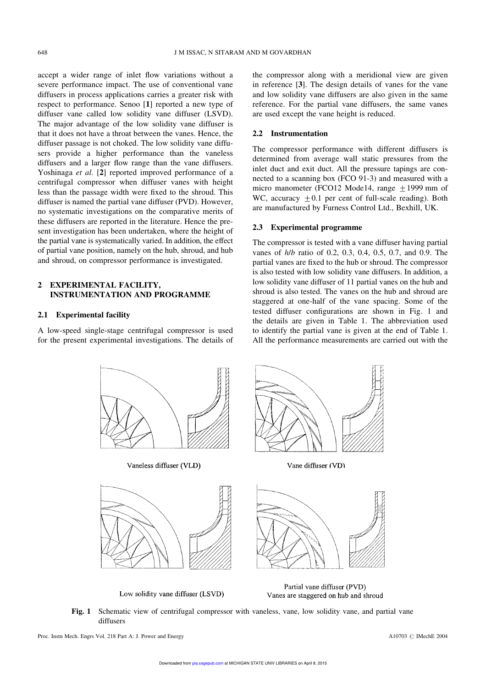accept a wider range of inlet flow variations without a severe performance impact. The use of conventional vane diffusers in process applications carries a greater risk with respect to performance. Senoo [1] reported a new type of diffuser vane called low solidity vane diffuser (LSVD). The major advantage of the low solidity vane diffuser is that it does not have a throat between the vanes. Hence, the diffuser passage is not choked. The low solidity vane diffusers provide a higher performance than the vaneless diffusers and a larger flow range than the vane diffusers. Yoshinaga et al. [2] reported improved performance of a centrifugal compressor when diffuser vanes with height less than the passage width were fixed to the shroud. This diffuser is named the partial vane diffuser (PVD). However, no systematic investigations on the comparative merits of these diffusers are reported in the literature. Hence the present investigation has been undertaken, where the height of the partial vane is systematically varied. In addition, the effect of partial vane position, namely on the hub, shroud, and hub and shroud, on compressor performance is investigated.

# 2 EXPERIMENTAL FACILITY, INSTRUMENTATION AND PROGRAMME

#### 2.1 Experimental facility

A low-speed single-stage centrifugal compressor is used for the present experimental investigations. The details of the compressor along with a meridional view are given in reference [3]. The design details of vanes for the vane and low solidity vane diffusers are also given in the same reference. For the partial vane diffusers, the same vanes are used except the vane height is reduced.

#### 2.2 Instrumentation

The compressor performance with different diffusers is determined from average wall static pressures from the inlet duct and exit duct. All the pressure tapings are connected to a scanning box (FCO 91-3) and measured with a micro manometer (FCO12 Mode14, range  $\pm$ 1999 mm of WC, accuracy  $\pm 0.1$  per cent of full-scale reading). Both are manufactured by Furness Control Ltd., Bexhill, UK.

## 2.3 Experimental programme

The compressor is tested with a vane diffuser having partial vanes of h/b ratio of 0.2, 0.3, 0.4, 0.5, 0.7, and 0.9. The partial vanes are fixed to the hub or shroud. The compressor is also tested with low solidity vane diffusers. In addition, a low solidity vane diffuser of 11 partial vanes on the hub and shroud is also tested. The vanes on the hub and shroud are staggered at one-half of the vane spacing. Some of the tested diffuser configurations are shown in Fig. 1 and the details are given in Table 1. The abbreviation used to identify the partial vane is given at the end of Table 1. All the performance measurements are carried out with the



Fig. 1 Schematic view of centrifugal compressor with vaneless, vane, low solidity vane, and partial vane diffusers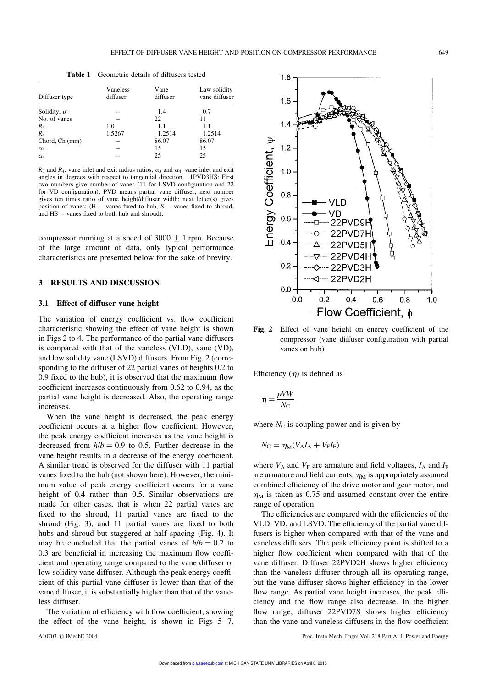Table 1 Geometric details of diffusers tested

| Diffuser type      | Vaneless<br>diffuser | Vane<br>diffuser | Law solidity<br>vane diffuser |
|--------------------|----------------------|------------------|-------------------------------|
| Solidity, $\sigma$ |                      | 1.4              | 0.7                           |
| No. of vanes       |                      | 22               | 11                            |
| $R_3$              | 1.0                  | 1.1              | 1.1                           |
| $R_4$              | 1.5267               | 1.2514           | 1.2514                        |
| Chord, Ch (mm)     |                      | 86.07            | 86.07                         |
| $\alpha_3$         |                      | 15               | 15                            |
| $\alpha_4$         |                      | 25               | 25                            |

 $R_3$  and  $R_4$ : vane inlet and exit radius ratios;  $\alpha_3$  and  $\alpha_4$ : vane inlet and exit angles in degrees with respect to tangential direction. 11PVD3HS: First two numbers give number of vanes (11 for LSVD configuration and 22 for VD configuration); PVD means partial vane diffuser; next number gives ten times ratio of vane height/diffuser width; next letter(s) gives position of vanes;  $(H - \text{vanes fixed to hub}, S - \text{vanes fixed to shroud})$ and HS – vanes fixed to both hub and shroud).

compressor running at a speed of  $3000 + 1$  rpm. Because of the large amount of data, only typical performance characteristics are presented below for the sake of brevity.

## 3 RESULTS AND DISCUSSION

## 3.1 Effect of diffuser vane height

The variation of energy coefficient vs. flow coefficient characteristic showing the effect of vane height is shown in Figs 2 to 4. The performance of the partial vane diffusers is compared with that of the vaneless (VLD), vane (VD), and low solidity vane (LSVD) diffusers. From Fig. 2 (corresponding to the diffuser of 22 partial vanes of heights 0.2 to 0.9 fixed to the hub), it is observed that the maximum flow coefficient increases continuously from 0.62 to 0.94, as the partial vane height is decreased. Also, the operating range increases.

When the vane height is decreased, the peak energy coefficient occurs at a higher flow coefficient. However, the peak energy coefficient increases as the vane height is decreased from  $h/b = 0.9$  to 0.5. Further decrease in the vane height results in a decrease of the energy coefficient. A similar trend is observed for the diffuser with 11 partial vanes fixed to the hub (not shown here). However, the minimum value of peak energy coefficient occurs for a vane height of 0.4 rather than 0.5. Similar observations are made for other cases, that is when 22 partial vanes are fixed to the shroud, 11 partial vanes are fixed to the shroud (Fig. 3), and 11 partial vanes are fixed to both hubs and shroud but staggered at half spacing (Fig. 4). It may be concluded that the partial vanes of  $h/b = 0.2$  to 0.3 are beneficial in increasing the maximum flow coefficient and operating range compared to the vane diffuser or low solidity vane diffuser. Although the peak energy coefficient of this partial vane diffuser is lower than that of the vane diffuser, it is substantially higher than that of the vaneless diffuser.

The variation of efficiency with flow coefficient, showing the effect of the vane height, is shown in Figs  $5-7$ .



Fig. 2 Effect of vane height on energy coefficient of the compressor (vane diffuser configuration with partial vanes on hub)

Efficiency  $(\eta)$  is defined as

$$
\eta = \frac{\rho V W}{N_{\rm C}}
$$

where  $N_{\rm C}$  is coupling power and is given by

$$
N_{\rm C} = \eta_{\rm M} (V_{\rm A} I_{\rm A} + V_{\rm F} I_{\rm F})
$$

where  $V_A$  and  $V_F$  are armature and field voltages,  $I_A$  and  $I_F$ are armature and field currents,  $\eta_M$  is appropriately assumed combined efficiency of the drive motor and gear motor, and  $\eta_M$  is taken as 0.75 and assumed constant over the entire range of operation.

The efficiencies are compared with the efficiencies of the VLD, VD, and LSVD. The efficiency of the partial vane diffusers is higher when compared with that of the vane and vaneless diffusers. The peak efficiency point is shifted to a higher flow coefficient when compared with that of the vane diffuser. Diffuser 22PVD2H shows higher efficiency than the vaneless diffuser through all its operating range, but the vane diffuser shows higher efficiency in the lower flow range. As partial vane height increases, the peak efficiency and the flow range also decrease. In the higher flow range, diffuser 22PVD7S shows higher efficiency than the vane and vaneless diffusers in the flow coefficient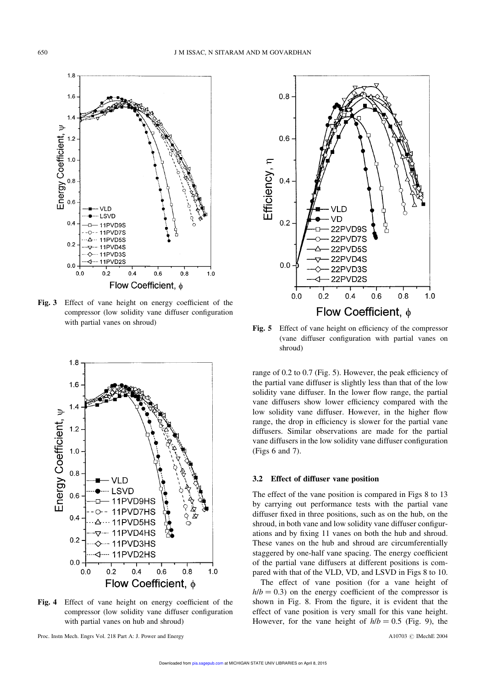$08$ 

 $0.6$ 

 $0.4$ 



Fig. 3 Effect of vane height on energy coefficient of the compressor (low solidity vane diffuser configuration with partial vanes on shroud)



Fig. 4 Effect of vane height on energy coefficient of the compressor (low solidity vane diffuser configuration with partial vanes on hub and shroud)



VLD

the partial vane diffuser is slightly less than that of the low solidity vane diffuser. In the lower flow range, the partial vane diffusers show lower efficiency compared with the low solidity vane diffuser. However, in the higher flow range, the drop in efficiency is slower for the partial vane diffusers. Similar observations are made for the partial vane diffusers in the low solidity vane diffuser configuration (Figs 6 and 7).

## 3.2 Effect of diffuser vane position

The effect of the vane position is compared in Figs 8 to 13 by carrying out performance tests with the partial vane diffuser fixed in three positions, such as on the hub, on the shroud, in both vane and low solidity vane diffuser configurations and by fixing 11 vanes on both the hub and shroud. These vanes on the hub and shroud are circumferentially staggered by one-half vane spacing. The energy coefficient of the partial vane diffusers at different positions is compared with that of the VLD, VD, and LSVD in Figs 8 to 10.

The effect of vane position (for a vane height of  $h/b = 0.3$ ) on the energy coefficient of the compressor is shown in Fig. 8. From the figure, it is evident that the effect of vane position is very small for this vane height. However, for the vane height of  $h/b = 0.5$  (Fig. 9), the

 $1.0$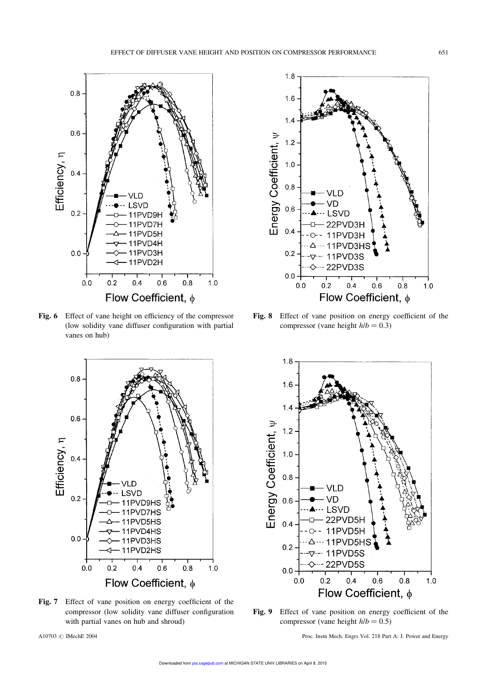

Fig. 6 Effect of vane height on efficiency of the compressor (low solidity vane diffuser configuration with partial vanes on hub)



Fig. 7 Effect of vane position on energy coefficient of the compressor (low solidity vane diffuser configuration with partial vanes on hub and shroud)



Fig. 8 Effect of vane position on energy coefficient of the compressor (vane height  $h/b = 0.3$ )



Fig. 9 Effect of vane position on energy coefficient of the compressor (vane height  $h/b = 0.5$ )

A10703 © IMechE 2004 Proc. Instn Mech. Engrs Vol. 218 Part A: J. Power and Energy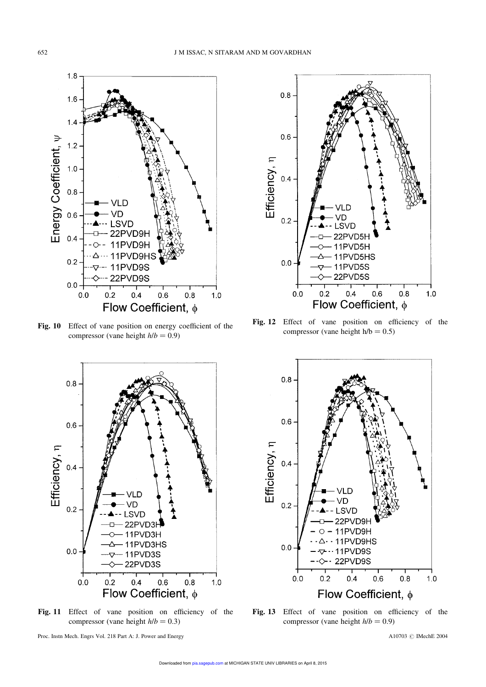

Fig. 10 Effect of vane position on energy coefficient of the compressor (vane height  $h/b = 0.9$ )



Fig. 11 Effect of vane position on efficiency of the compressor (vane height  $h/b = 0.3$ )



Fig. 12 Effect of vane position on efficiency of the compressor (vane height  $h/b = 0.5$ )



Fig. 13 Effect of vane position on efficiency of the compressor (vane height  $h/b = 0.9$ )

Proc. Instn Mech. Engrs Vol. 218 Part A: J. Power and Energy A10703 © IMechE 2004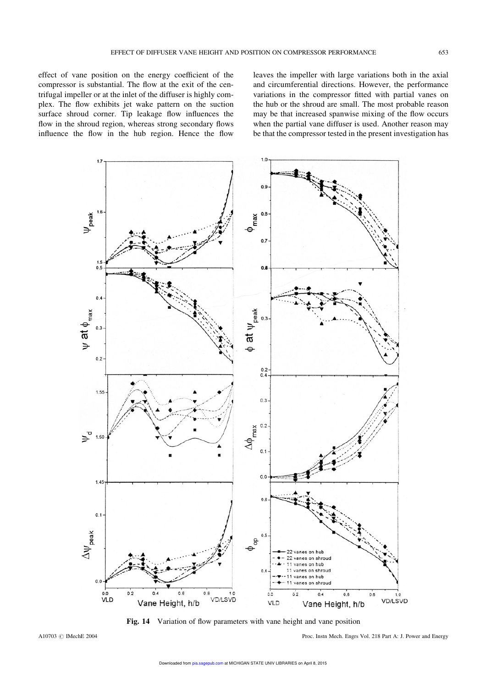effect of vane position on the energy coefficient of the compressor is substantial. The flow at the exit of the centrifugal impeller or at the inlet of the diffuser is highly complex. The flow exhibits jet wake pattern on the suction surface shroud corner. Tip leakage flow influences the flow in the shroud region, whereas strong secondary flows influence the flow in the hub region. Hence the flow leaves the impeller with large variations both in the axial and circumferential directions. However, the performance variations in the compressor fitted with partial vanes on the hub or the shroud are small. The most probable reason may be that increased spanwise mixing of the flow occurs when the partial vane diffuser is used. Another reason may be that the compressor tested in the present investigation has



Fig. 14 Variation of flow parameters with vane height and vane position

A10703 © IMechE 2004 Proc. Instn Mech. Engrs Vol. 218 Part A: J. Power and Energy